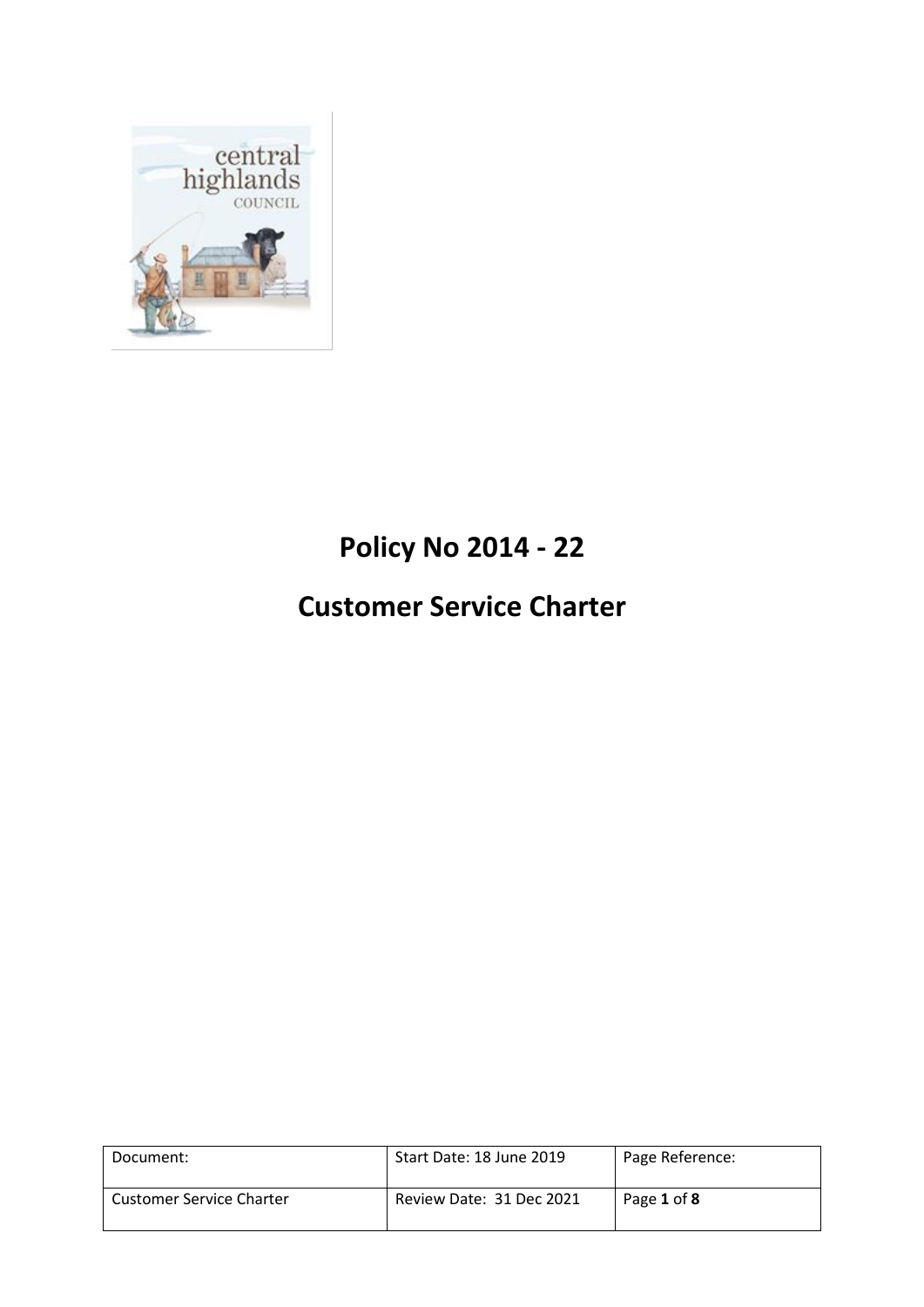

# **Policy No 2014 - 22**

# **Customer Service Charter**

| Document:                       | Start Date: 18 June 2019 | Page Reference: |
|---------------------------------|--------------------------|-----------------|
| <b>Customer Service Charter</b> | Review Date: 31 Dec 2021 | Page 1 of 8     |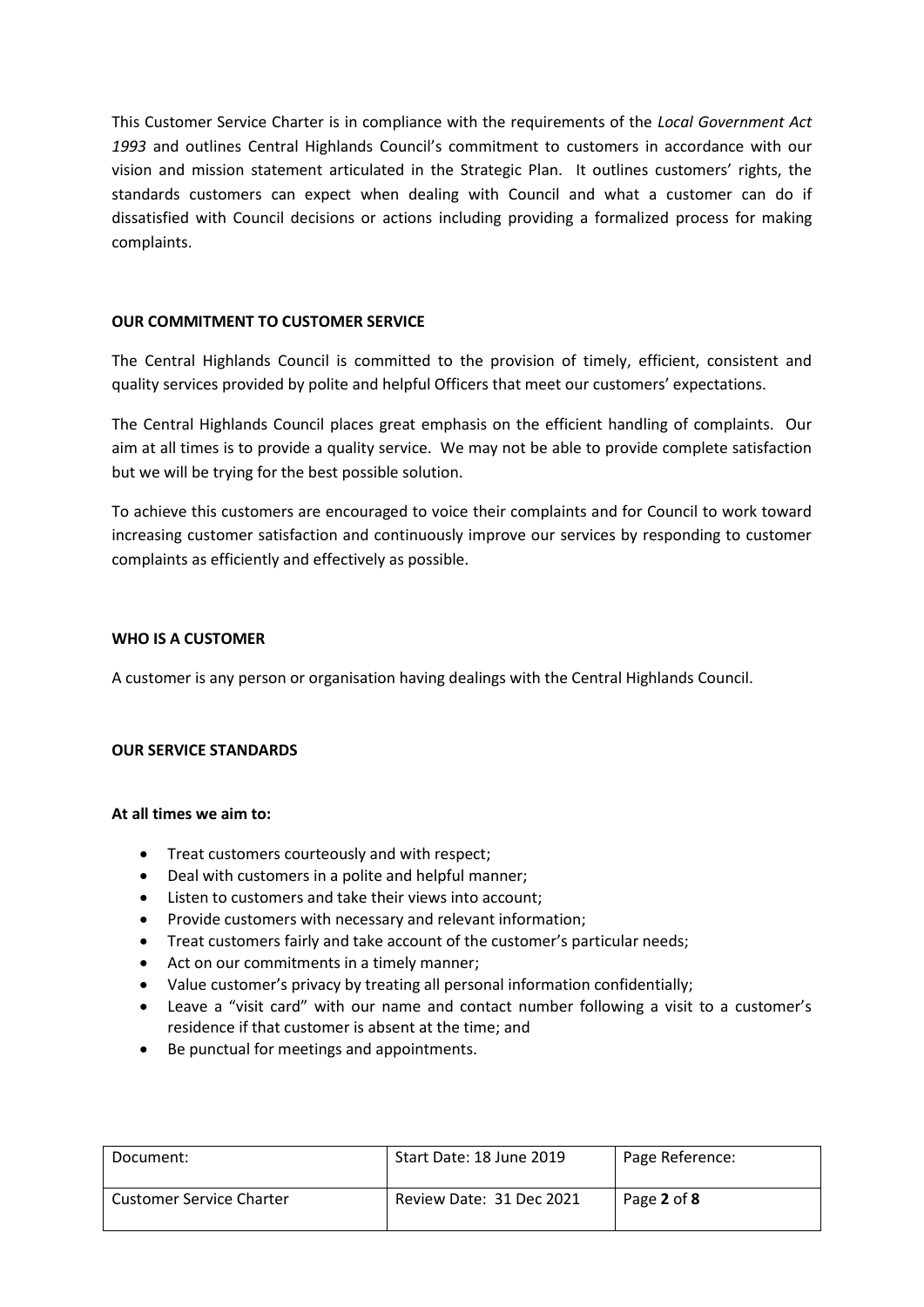This Customer Service Charter is in compliance with the requirements of the *Local Government Act 1993* and outlines Central Highlands Council's commitment to customers in accordance with our vision and mission statement articulated in the Strategic Plan. It outlines customers' rights, the standards customers can expect when dealing with Council and what a customer can do if dissatisfied with Council decisions or actions including providing a formalized process for making complaints.

#### **OUR COMMITMENT TO CUSTOMER SERVICE**

The Central Highlands Council is committed to the provision of timely, efficient, consistent and quality services provided by polite and helpful Officers that meet our customers' expectations.

The Central Highlands Council places great emphasis on the efficient handling of complaints. Our aim at all times is to provide a quality service. We may not be able to provide complete satisfaction but we will be trying for the best possible solution.

To achieve this customers are encouraged to voice their complaints and for Council to work toward increasing customer satisfaction and continuously improve our services by responding to customer complaints as efficiently and effectively as possible.

## **WHO IS A CUSTOMER**

A customer is any person or organisation having dealings with the Central Highlands Council.

# **OUR SERVICE STANDARDS**

#### **At all times we aim to:**

- Treat customers courteously and with respect;
- Deal with customers in a polite and helpful manner;
- Listen to customers and take their views into account;
- Provide customers with necessary and relevant information;
- Treat customers fairly and take account of the customer's particular needs;
- Act on our commitments in a timely manner;
- Value customer's privacy by treating all personal information confidentially;
- Leave a "visit card" with our name and contact number following a visit to a customer's residence if that customer is absent at the time; and
- Be punctual for meetings and appointments.

| Document:                       | Start Date: 18 June 2019 | Page Reference: |
|---------------------------------|--------------------------|-----------------|
| <b>Customer Service Charter</b> | Review Date: 31 Dec 2021 | Page 2 of 8     |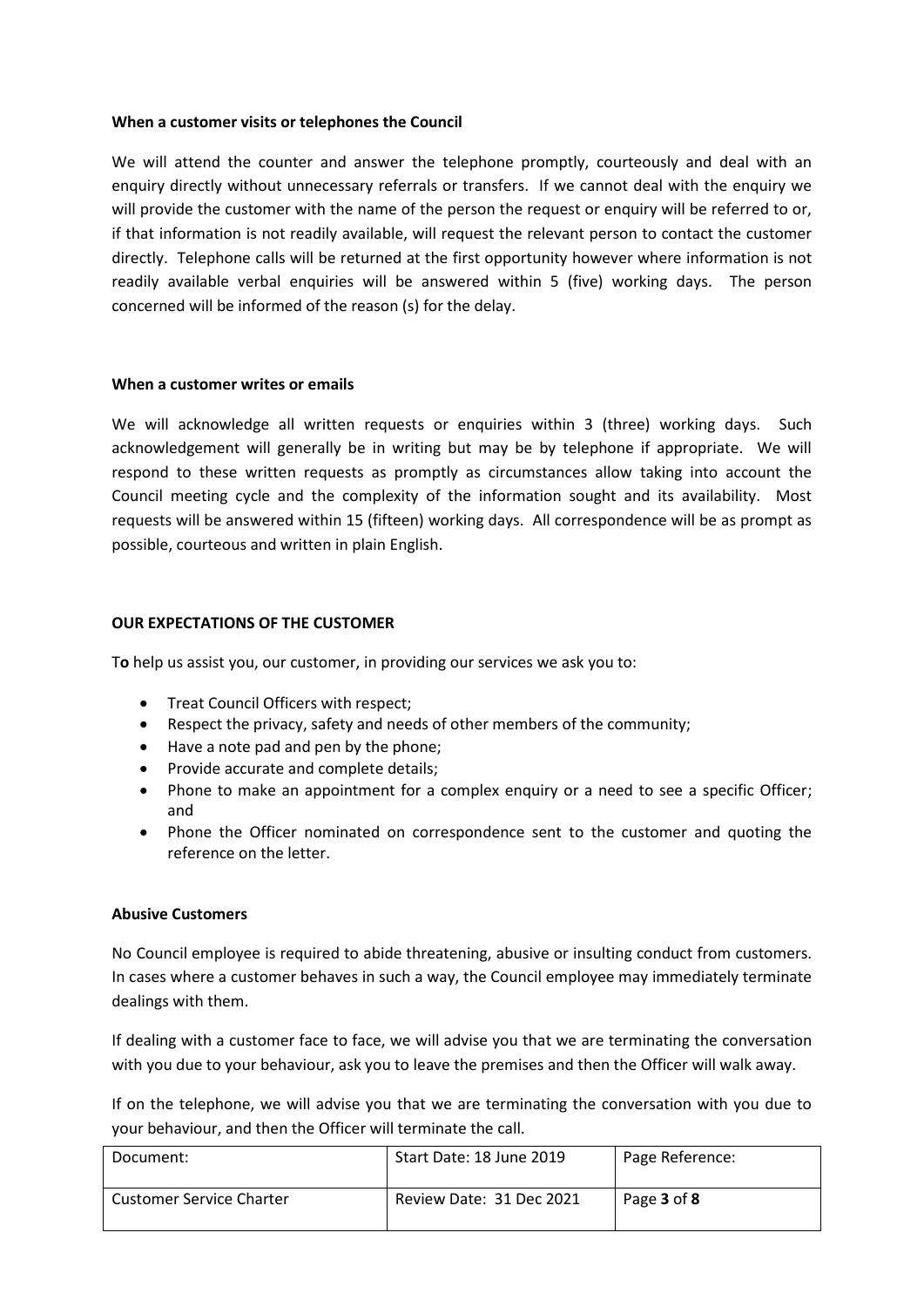#### **When a customer visits or telephones the Council**

We will attend the counter and answer the telephone promptly, courteously and deal with an enquiry directly without unnecessary referrals or transfers. If we cannot deal with the enquiry we will provide the customer with the name of the person the request or enquiry will be referred to or, if that information is not readily available, will request the relevant person to contact the customer directly. Telephone calls will be returned at the first opportunity however where information is not readily available verbal enquiries will be answered within 5 (five) working days. The person concerned will be informed of the reason (s) for the delay.

#### **When a customer writes or emails**

We will acknowledge all written requests or enquiries within 3 (three) working days. Such acknowledgement will generally be in writing but may be by telephone if appropriate. We will respond to these written requests as promptly as circumstances allow taking into account the Council meeting cycle and the complexity of the information sought and its availability. Most requests will be answered within 15 (fifteen) working days. All correspondence will be as prompt as possible, courteous and written in plain English.

#### **OUR EXPECTATIONS OF THE CUSTOMER**

T**o** help us assist you, our customer, in providing our services we ask you to:

- Treat Council Officers with respect;
- Respect the privacy, safety and needs of other members of the community;
- Have a note pad and pen by the phone;
- Provide accurate and complete details;
- Phone to make an appointment for a complex enquiry or a need to see a specific Officer; and
- Phone the Officer nominated on correspondence sent to the customer and quoting the reference on the letter.

#### **Abusive Customers**

No Council employee is required to abide threatening, abusive or insulting conduct from customers. In cases where a customer behaves in such a way, the Council employee may immediately terminate dealings with them.

If dealing with a customer face to face, we will advise you that we are terminating the conversation with you due to your behaviour, ask you to leave the premises and then the Officer will walk away.

If on the telephone, we will advise you that we are terminating the conversation with you due to your behaviour, and then the Officer will terminate the call.

| Document:                       | Start Date: 18 June 2019 | Page Reference: |
|---------------------------------|--------------------------|-----------------|
| <b>Customer Service Charter</b> | Review Date: 31 Dec 2021 | Page 3 of 8     |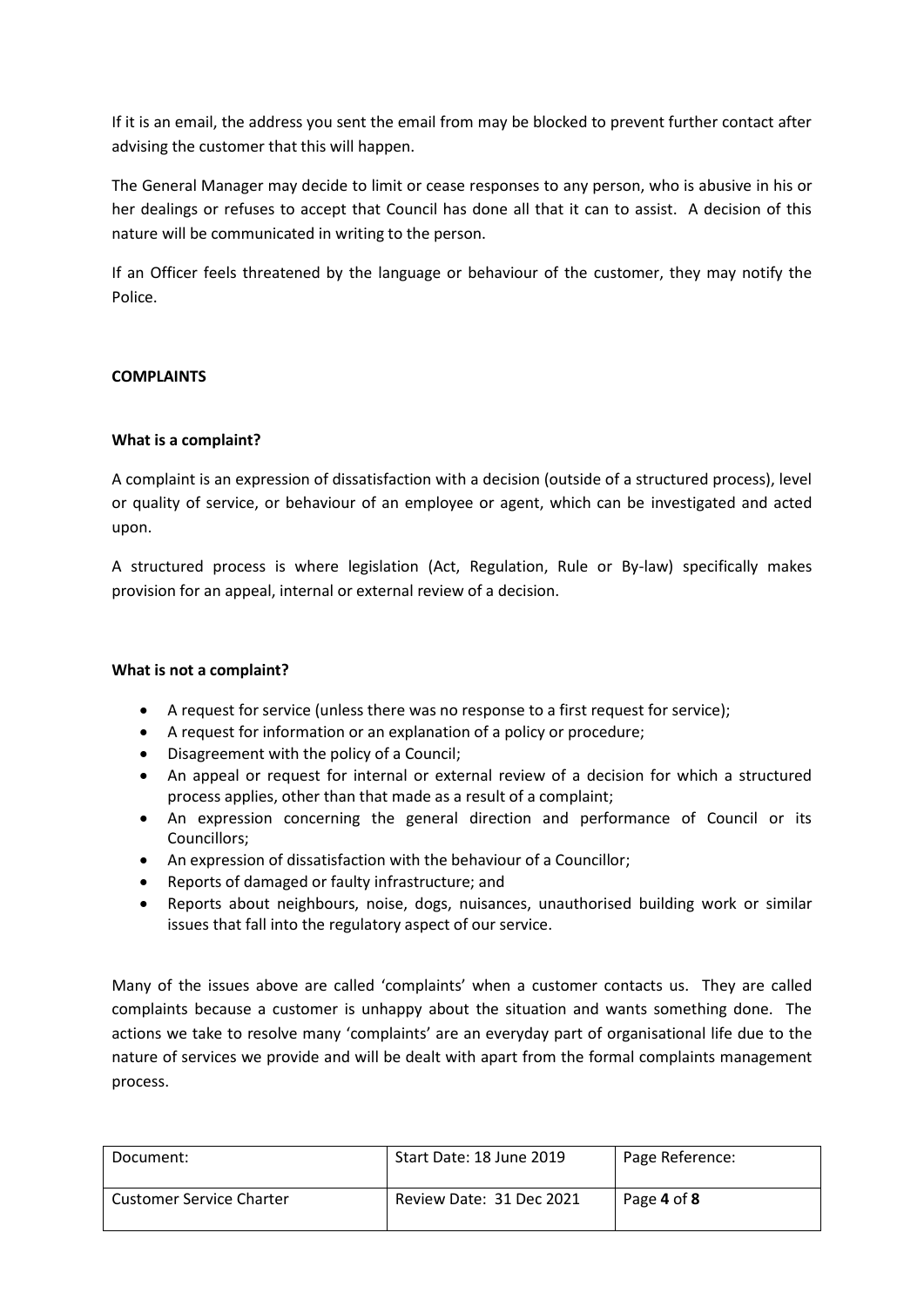If it is an email, the address you sent the email from may be blocked to prevent further contact after advising the customer that this will happen.

The General Manager may decide to limit or cease responses to any person, who is abusive in his or her dealings or refuses to accept that Council has done all that it can to assist. A decision of this nature will be communicated in writing to the person.

If an Officer feels threatened by the language or behaviour of the customer, they may notify the Police.

# **COMPLAINTS**

## **What is a complaint?**

A complaint is an expression of dissatisfaction with a decision (outside of a structured process), level or quality of service, or behaviour of an employee or agent, which can be investigated and acted upon.

A structured process is where legislation (Act, Regulation, Rule or By-law) specifically makes provision for an appeal, internal or external review of a decision.

#### **What is not a complaint?**

- A request for service (unless there was no response to a first request for service);
- A request for information or an explanation of a policy or procedure;
- Disagreement with the policy of a Council;
- An appeal or request for internal or external review of a decision for which a structured process applies, other than that made as a result of a complaint;
- An expression concerning the general direction and performance of Council or its Councillors;
- An expression of dissatisfaction with the behaviour of a Councillor;
- Reports of damaged or faulty infrastructure; and
- Reports about neighbours, noise, dogs, nuisances, unauthorised building work or similar issues that fall into the regulatory aspect of our service.

Many of the issues above are called 'complaints' when a customer contacts us. They are called complaints because a customer is unhappy about the situation and wants something done. The actions we take to resolve many 'complaints' are an everyday part of organisational life due to the nature of services we provide and will be dealt with apart from the formal complaints management process.

| Document:                       | Start Date: 18 June 2019 | Page Reference: |
|---------------------------------|--------------------------|-----------------|
| <b>Customer Service Charter</b> | Review Date: 31 Dec 2021 | Page 4 of 8     |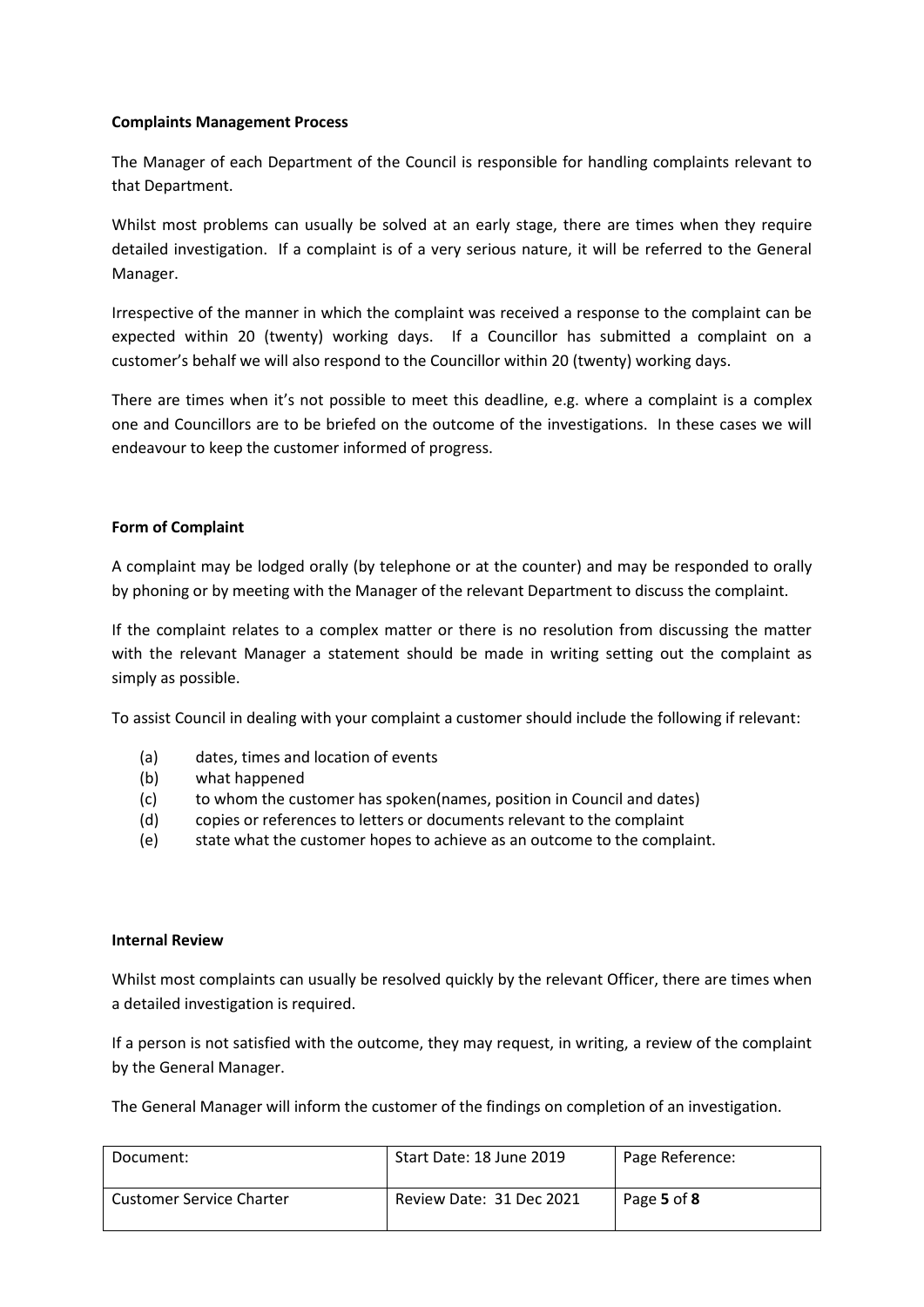#### **Complaints Management Process**

The Manager of each Department of the Council is responsible for handling complaints relevant to that Department.

Whilst most problems can usually be solved at an early stage, there are times when they require detailed investigation. If a complaint is of a very serious nature, it will be referred to the General Manager.

Irrespective of the manner in which the complaint was received a response to the complaint can be expected within 20 (twenty) working days. If a Councillor has submitted a complaint on a customer's behalf we will also respond to the Councillor within 20 (twenty) working days.

There are times when it's not possible to meet this deadline, e.g. where a complaint is a complex one and Councillors are to be briefed on the outcome of the investigations. In these cases we will endeavour to keep the customer informed of progress.

## **Form of Complaint**

A complaint may be lodged orally (by telephone or at the counter) and may be responded to orally by phoning or by meeting with the Manager of the relevant Department to discuss the complaint.

If the complaint relates to a complex matter or there is no resolution from discussing the matter with the relevant Manager a statement should be made in writing setting out the complaint as simply as possible.

To assist Council in dealing with your complaint a customer should include the following if relevant:

- (a) dates, times and location of events
- (b) what happened
- (c) to whom the customer has spoken(names, position in Council and dates)
- (d) copies or references to letters or documents relevant to the complaint
- (e) state what the customer hopes to achieve as an outcome to the complaint.

#### **Internal Review**

Whilst most complaints can usually be resolved quickly by the relevant Officer, there are times when a detailed investigation is required.

If a person is not satisfied with the outcome, they may request, in writing, a review of the complaint by the General Manager.

The General Manager will inform the customer of the findings on completion of an investigation.

| Document:                       | Start Date: 18 June 2019 | Page Reference: |
|---------------------------------|--------------------------|-----------------|
| <b>Customer Service Charter</b> | Review Date: 31 Dec 2021 | Page 5 of 8     |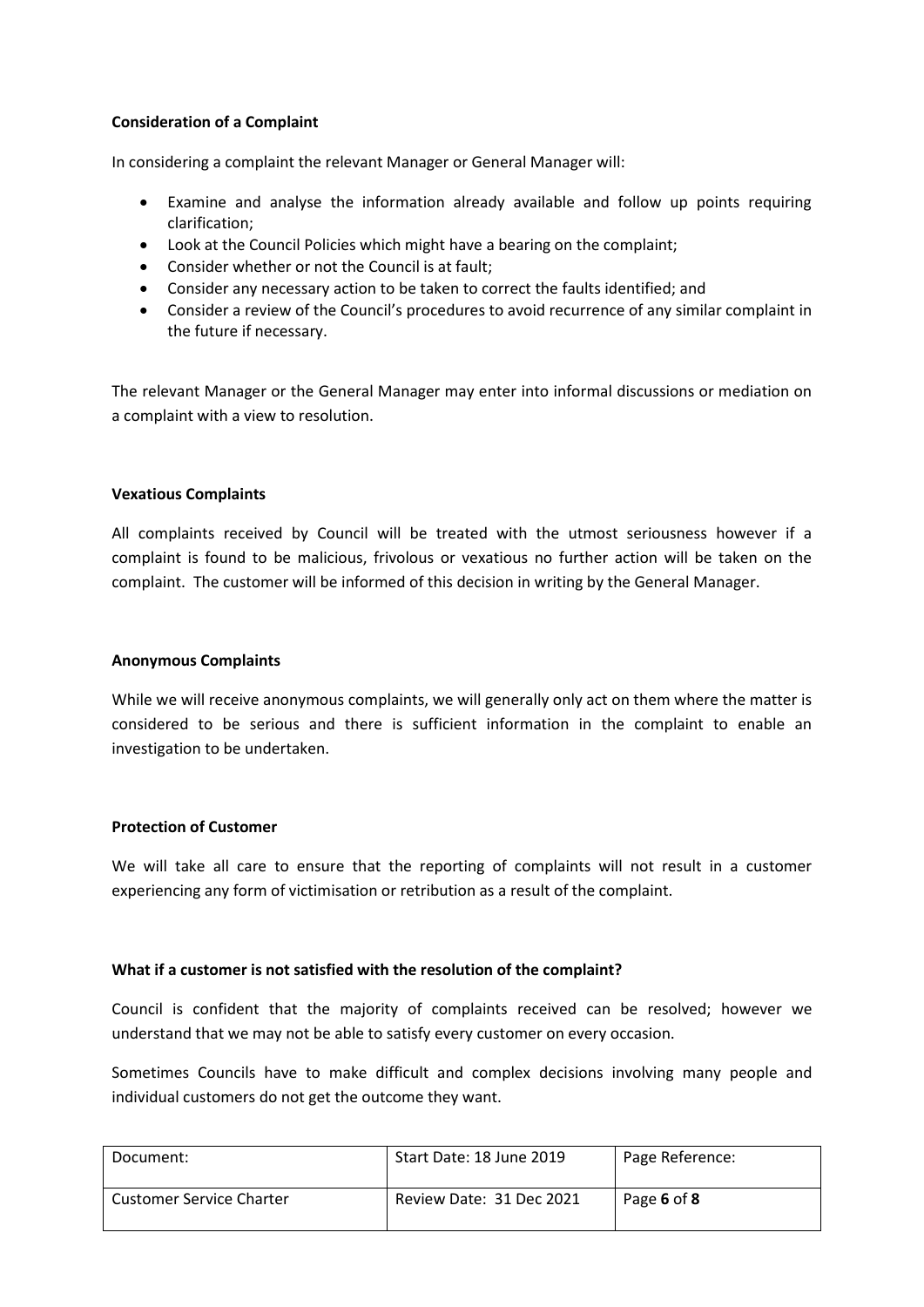## **Consideration of a Complaint**

In considering a complaint the relevant Manager or General Manager will:

- Examine and analyse the information already available and follow up points requiring clarification;
- Look at the Council Policies which might have a bearing on the complaint;
- Consider whether or not the Council is at fault;
- Consider any necessary action to be taken to correct the faults identified; and
- Consider a review of the Council's procedures to avoid recurrence of any similar complaint in the future if necessary.

The relevant Manager or the General Manager may enter into informal discussions or mediation on a complaint with a view to resolution.

#### **Vexatious Complaints**

All complaints received by Council will be treated with the utmost seriousness however if a complaint is found to be malicious, frivolous or vexatious no further action will be taken on the complaint. The customer will be informed of this decision in writing by the General Manager.

#### **Anonymous Complaints**

While we will receive anonymous complaints, we will generally only act on them where the matter is considered to be serious and there is sufficient information in the complaint to enable an investigation to be undertaken.

#### **Protection of Customer**

We will take all care to ensure that the reporting of complaints will not result in a customer experiencing any form of victimisation or retribution as a result of the complaint.

#### **What if a customer is not satisfied with the resolution of the complaint?**

Council is confident that the majority of complaints received can be resolved; however we understand that we may not be able to satisfy every customer on every occasion.

Sometimes Councils have to make difficult and complex decisions involving many people and individual customers do not get the outcome they want.

| Document:                       | Start Date: 18 June 2019 | Page Reference: |
|---------------------------------|--------------------------|-----------------|
| <b>Customer Service Charter</b> | Review Date: 31 Dec 2021 | Page 6 of 8     |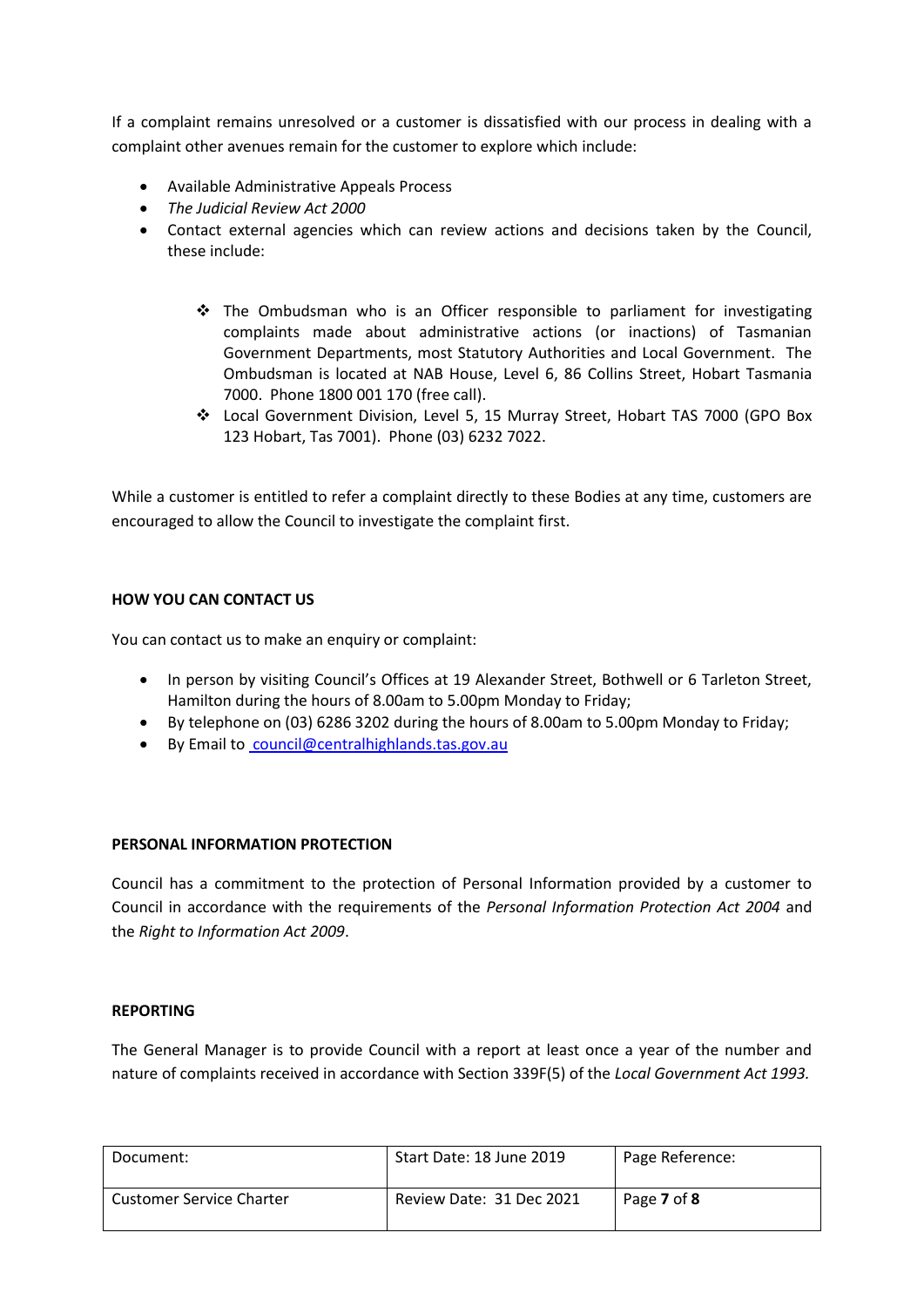If a complaint remains unresolved or a customer is dissatisfied with our process in dealing with a complaint other avenues remain for the customer to explore which include:

- Available Administrative Appeals Process
- *The Judicial Review Act 2000*
- Contact external agencies which can review actions and decisions taken by the Council, these include:
	- $\div$  The Ombudsman who is an Officer responsible to parliament for investigating complaints made about administrative actions (or inactions) of Tasmanian Government Departments, most Statutory Authorities and Local Government. The Ombudsman is located at NAB House, Level 6, 86 Collins Street, Hobart Tasmania 7000. Phone 1800 001 170 (free call).
	- Local Government Division, Level 5, 15 Murray Street, Hobart TAS 7000 (GPO Box 123 Hobart, Tas 7001). Phone (03) 6232 7022.

While a customer is entitled to refer a complaint directly to these Bodies at any time, customers are encouraged to allow the Council to investigate the complaint first.

## **HOW YOU CAN CONTACT US**

You can contact us to make an enquiry or complaint:

- In person by visiting Council's Offices at 19 Alexander Street, Bothwell or 6 Tarleton Street, Hamilton during the hours of 8.00am to 5.00pm Monday to Friday;
- By telephone on (03) 6286 3202 during the hours of 8.00am to 5.00pm Monday to Friday;
- By Email to [council@centralhighlands.tas.gov.au](mailto:cbryant@centralhighlands.tas.gov.au)

#### **PERSONAL INFORMATION PROTECTION**

Council has a commitment to the protection of Personal Information provided by a customer to Council in accordance with the requirements of the *Personal Information Protection Act 2004* and the *Right to Information Act 2009*.

#### **REPORTING**

The General Manager is to provide Council with a report at least once a year of the number and nature of complaints received in accordance with Section 339F(5) of the *Local Government Act 1993.*

| Document:                       | Start Date: 18 June 2019 | Page Reference: |
|---------------------------------|--------------------------|-----------------|
| <b>Customer Service Charter</b> | Review Date: 31 Dec 2021 | Page 7 of 8     |